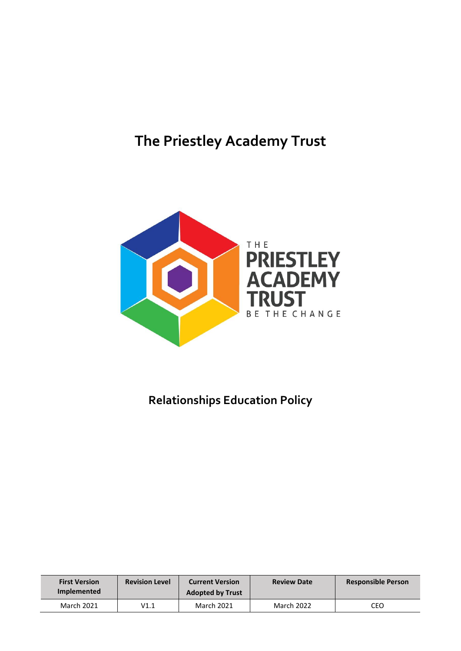# **The Priestley Academy Trust**



# **Relationships Education Policy**

| <b>First Version</b><br><b>Implemented</b> | <b>Revision Level</b> | <b>Current Version</b><br><b>Adopted by Trust</b> | <b>Review Date</b> | <b>Responsible Person</b> |
|--------------------------------------------|-----------------------|---------------------------------------------------|--------------------|---------------------------|
| <b>March 2021</b>                          | V1.1                  | <b>March 2021</b>                                 | March 2022         | CEO                       |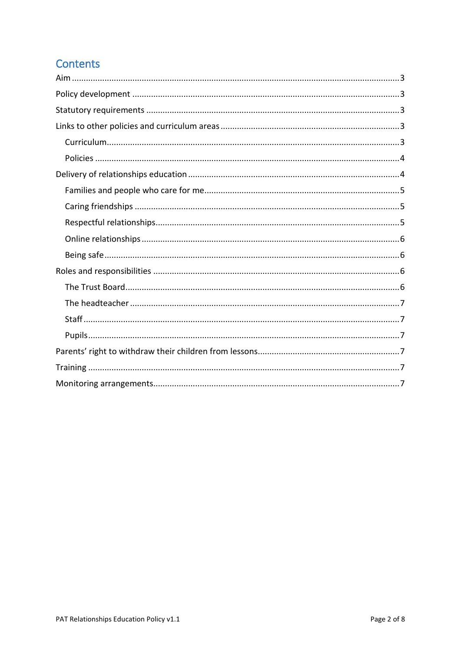# **Contents**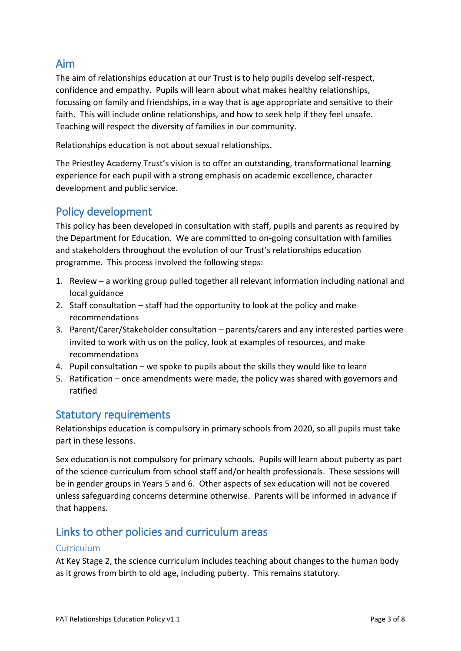### <span id="page-2-0"></span>Aim

The aim of relationships education at our Trust is to help pupils develop self-respect, confidence and empathy. Pupils will learn about what makes healthy relationships, focussing on family and friendships, in a way that is age appropriate and sensitive to their faith. This will include online relationships, and how to seek help if they feel unsafe. Teaching will respect the diversity of families in our community.

Relationships education is not about sexual relationships.

The Priestley Academy Trust's vision is to offer an outstanding, transformational learning experience for each pupil with a strong emphasis on academic excellence, character development and public service.

# <span id="page-2-1"></span>Policy development

This policy has been developed in consultation with staff, pupils and parents as required by the Department for Education. We are committed to on-going consultation with families and stakeholders throughout the evolution of our Trust's relationships education programme. This process involved the following steps:

- 1. Review a working group pulled together all relevant information including national and local guidance
- 2. Staff consultation staff had the opportunity to look at the policy and make recommendations
- 3. Parent/Carer/Stakeholder consultation parents/carers and any interested parties were invited to work with us on the policy, look at examples of resources, and make recommendations
- 4. Pupil consultation we spoke to pupils about the skills they would like to learn
- 5. Ratification once amendments were made, the policy was shared with governors and ratified

### <span id="page-2-2"></span>Statutory requirements

Relationships education is compulsory in primary schools from 2020, so all pupils must take part in these lessons.

Sex education is not compulsory for primary schools. Pupils will learn about puberty as part of the science curriculum from school staff and/or health professionals. These sessions will be in gender groups in Years 5 and 6. Other aspects of sex education will not be covered unless safeguarding concerns determine otherwise. Parents will be informed in advance if that happens.

# <span id="page-2-3"></span>Links to other policies and curriculum areas

#### <span id="page-2-4"></span>Curriculum

At Key Stage 2, the science curriculum includes teaching about changes to the human body as it grows from birth to old age, including puberty. This remains statutory.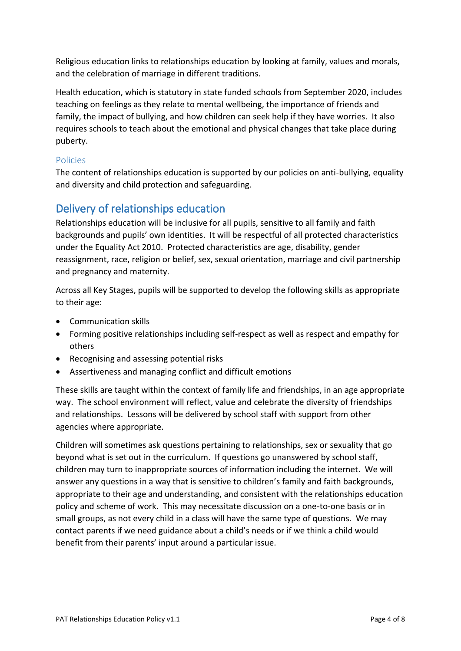Religious education links to relationships education by looking at family, values and morals, and the celebration of marriage in different traditions.

Health education, which is statutory in state funded schools from September 2020, includes teaching on feelings as they relate to mental wellbeing, the importance of friends and family, the impact of bullying, and how children can seek help if they have worries. It also requires schools to teach about the emotional and physical changes that take place during puberty.

#### <span id="page-3-0"></span>Policies

The content of relationships education is supported by our policies on anti-bullying, equality and diversity and child protection and safeguarding.

# <span id="page-3-1"></span>Delivery of relationships education

Relationships education will be inclusive for all pupils, sensitive to all family and faith backgrounds and pupils' own identities. It will be respectful of all protected characteristics under the Equality Act 2010. Protected characteristics are age, disability, gender reassignment, race, religion or belief, sex, sexual orientation, marriage and civil partnership and pregnancy and maternity.

Across all Key Stages, pupils will be supported to develop the following skills as appropriate to their age:

- Communication skills
- Forming positive relationships including self-respect as well as respect and empathy for others
- Recognising and assessing potential risks
- Assertiveness and managing conflict and difficult emotions

These skills are taught within the context of family life and friendships, in an age appropriate way. The school environment will reflect, value and celebrate the diversity of friendships and relationships. Lessons will be delivered by school staff with support from other agencies where appropriate.

Children will sometimes ask questions pertaining to relationships, sex or sexuality that go beyond what is set out in the curriculum. If questions go unanswered by school staff, children may turn to inappropriate sources of information including the internet. We will answer any questions in a way that is sensitive to children's family and faith backgrounds, appropriate to their age and understanding, and consistent with the relationships education policy and scheme of work. This may necessitate discussion on a one-to-one basis or in small groups, as not every child in a class will have the same type of questions. We may contact parents if we need guidance about a child's needs or if we think a child would benefit from their parents' input around a particular issue.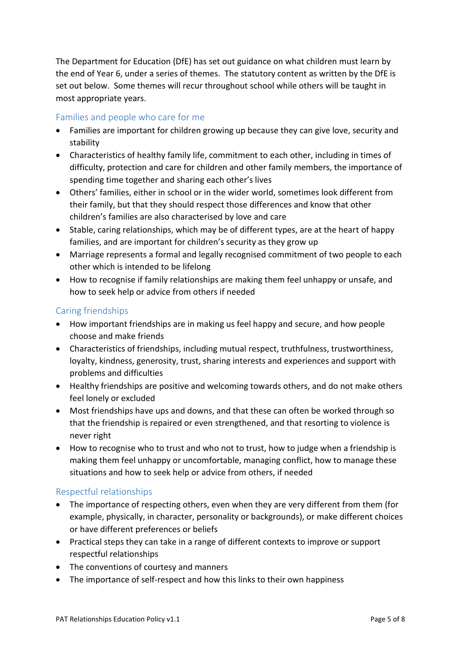The Department for Education (DfE) has set out guidance on what children must learn by the end of Year 6, under a series of themes. The statutory content as written by the DfE is set out below. Some themes will recur throughout school while others will be taught in most appropriate years.

#### <span id="page-4-0"></span>Families and people who care for me

- Families are important for children growing up because they can give love, security and stability
- Characteristics of healthy family life, commitment to each other, including in times of difficulty, protection and care for children and other family members, the importance of spending time together and sharing each other's lives
- Others' families, either in school or in the wider world, sometimes look different from their family, but that they should respect those differences and know that other children's families are also characterised by love and care
- Stable, caring relationships, which may be of different types, are at the heart of happy families, and are important for children's security as they grow up
- Marriage represents a formal and legally recognised commitment of two people to each other which is intended to be lifelong
- How to recognise if family relationships are making them feel unhappy or unsafe, and how to seek help or advice from others if needed

#### <span id="page-4-1"></span>Caring friendships

- How important friendships are in making us feel happy and secure, and how people choose and make friends
- Characteristics of friendships, including mutual respect, truthfulness, trustworthiness, loyalty, kindness, generosity, trust, sharing interests and experiences and support with problems and difficulties
- Healthy friendships are positive and welcoming towards others, and do not make others feel lonely or excluded
- Most friendships have ups and downs, and that these can often be worked through so that the friendship is repaired or even strengthened, and that resorting to violence is never right
- How to recognise who to trust and who not to trust, how to judge when a friendship is making them feel unhappy or uncomfortable, managing conflict, how to manage these situations and how to seek help or advice from others, if needed

#### <span id="page-4-2"></span>Respectful relationships

- The importance of respecting others, even when they are very different from them (for example, physically, in character, personality or backgrounds), or make different choices or have different preferences or beliefs
- Practical steps they can take in a range of different contexts to improve or support respectful relationships
- The conventions of courtesy and manners
- The importance of self-respect and how this links to their own happiness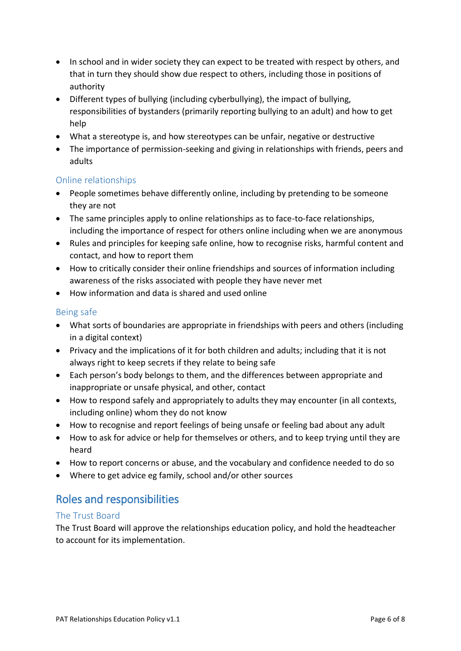- In school and in wider society they can expect to be treated with respect by others, and that in turn they should show due respect to others, including those in positions of authority
- Different types of bullying (including cyberbullying), the impact of bullying, responsibilities of bystanders (primarily reporting bullying to an adult) and how to get help
- What a stereotype is, and how stereotypes can be unfair, negative or destructive
- The importance of permission-seeking and giving in relationships with friends, peers and adults

#### <span id="page-5-0"></span>Online relationships

- People sometimes behave differently online, including by pretending to be someone they are not
- The same principles apply to online relationships as to face-to-face relationships, including the importance of respect for others online including when we are anonymous
- Rules and principles for keeping safe online, how to recognise risks, harmful content and contact, and how to report them
- How to critically consider their online friendships and sources of information including awareness of the risks associated with people they have never met
- How information and data is shared and used online

#### <span id="page-5-1"></span>Being safe

- What sorts of boundaries are appropriate in friendships with peers and others (including in a digital context)
- Privacy and the implications of it for both children and adults; including that it is not always right to keep secrets if they relate to being safe
- Each person's body belongs to them, and the differences between appropriate and inappropriate or unsafe physical, and other, contact
- How to respond safely and appropriately to adults they may encounter (in all contexts, including online) whom they do not know
- How to recognise and report feelings of being unsafe or feeling bad about any adult
- How to ask for advice or help for themselves or others, and to keep trying until they are heard
- How to report concerns or abuse, and the vocabulary and confidence needed to do so
- Where to get advice eg family, school and/or other sources

# <span id="page-5-2"></span>Roles and responsibilities

#### <span id="page-5-3"></span>The Trust Board

The Trust Board will approve the relationships education policy, and hold the headteacher to account for its implementation.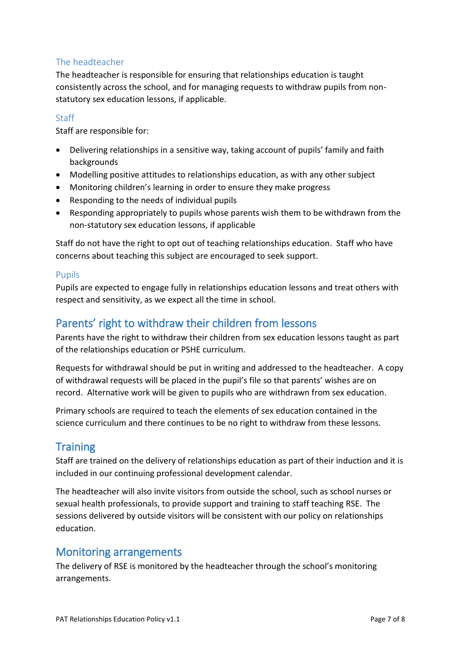#### <span id="page-6-0"></span>The headteacher

The headteacher is responsible for ensuring that relationships education is taught consistently across the school, and for managing requests to withdraw pupils from nonstatutory sex education lessons, if applicable.

#### <span id="page-6-1"></span>**Staff**

Staff are responsible for:

- Delivering relationships in a sensitive way, taking account of pupils' family and faith backgrounds
- Modelling positive attitudes to relationships education, as with any other subject
- Monitoring children's learning in order to ensure they make progress
- Responding to the needs of individual pupils
- Responding appropriately to pupils whose parents wish them to be withdrawn from the non-statutory sex education lessons, if applicable

Staff do not have the right to opt out of teaching relationships education. Staff who have concerns about teaching this subject are encouraged to seek support.

#### <span id="page-6-2"></span>Pupils

Pupils are expected to engage fully in relationships education lessons and treat others with respect and sensitivity, as we expect all the time in school.

### <span id="page-6-3"></span>Parents' right to withdraw their children from lessons

Parents have the right to withdraw their children from sex education lessons taught as part of the relationships education or PSHE curriculum.

Requests for withdrawal should be put in writing and addressed to the headteacher. A copy of withdrawal requests will be placed in the pupil's file so that parents' wishes are on record. Alternative work will be given to pupils who are withdrawn from sex education.

Primary schools are required to teach the elements of sex education contained in the science curriculum and there continues to be no right to withdraw from these lessons.

### <span id="page-6-4"></span>**Training**

Staff are trained on the delivery of relationships education as part of their induction and it is included in our continuing professional development calendar.

The headteacher will also invite visitors from outside the school, such as school nurses or sexual health professionals, to provide support and training to staff teaching RSE. The sessions delivered by outside visitors will be consistent with our policy on relationships education.

### <span id="page-6-5"></span>Monitoring arrangements

The delivery of RSE is monitored by the headteacher through the school's monitoring arrangements.